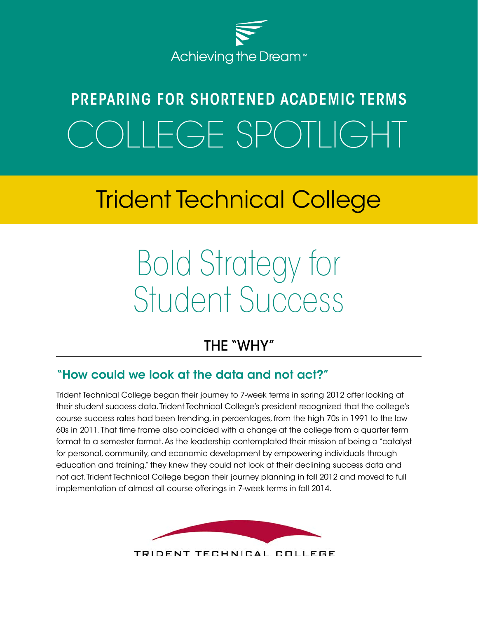

# PREPARING FOR SHORTENED ACADEMIC TERMS OLLEGE SPOTLIGHT

# Trident Technical College

# Bold Strategy for Student Success

### THE "WHY"

#### "How could we look at the data and not act?"

Trident Technical College began their journey to 7-week terms in spring 2012 after looking at their student success data. Trident Technical College's president recognized that the college's course success rates had been trending, in percentages, from the high 70s in 1991 to the low 60s in 2011. That time frame also coincided with a change at the college from a quarter term format to a semester format. As the leadership contemplated their mission of being a "catalyst for personal, community, and economic development by empowering individuals through education and training," they knew they could not look at their declining success data and not act. Trident Technical College began their journey planning in fall 2012 and moved to full implementation of almost all course offerings in 7-week terms in fall 2014.



TRIDENT TECHNICAL COLLEGE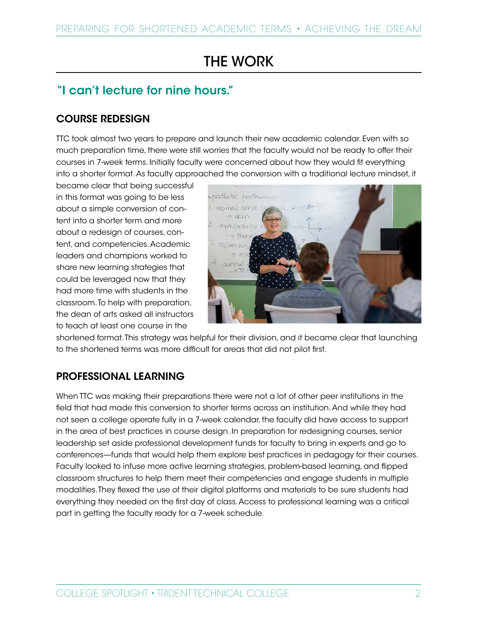## THE WORK

#### "I can't lecture for nine hours."

#### COURSE REDESIGN

TTC took almost two years to prepare and launch their new academic calendar. Even with so much preparation time, there were still worries that the faculty would not be ready to offer their courses in 7-week terms. Initially faculty were concerned about how they would fit everything into a shorter format. As faculty approached the conversion with a traditional lecture mindset, it

became clear that being successful in this format was going to be less about a simple conversion of content into a shorter term and more about a redesign of courses, content, and competencies. Academic leaders and champions worked to share new learning strategies that could be leveraged now that they had more time with students in the classroom. To help with preparation, the dean of arts asked all instructors to teach at least one course in the



shortened format. This strategy was helpful for their division, and it became clear that launching to the shortened terms was more difficult for areas that did not pilot first.

#### PROFESSIONAL LEARNING

When TTC was making their preparations there were not a lot of other peer institutions in the field that had made this conversion to shorter terms across an institution. And while they had not seen a college operate fully in a 7-week calendar, the faculty did have access to support in the area of best practices in course design. In preparation for redesigning courses, senior leadership set aside professional development funds for faculty to bring in experts and go to conferences—funds that would help them explore best practices in pedagogy for their courses. Faculty looked to infuse more active learning strategies, problem-based learning, and flipped classroom structures to help them meet their competencies and engage students in multiple modalities. They flexed the use of their digital platforms and materials to be sure students had everything they needed on the first day of class. Access to professional learning was a critical part in getting the faculty ready for a 7-week schedule.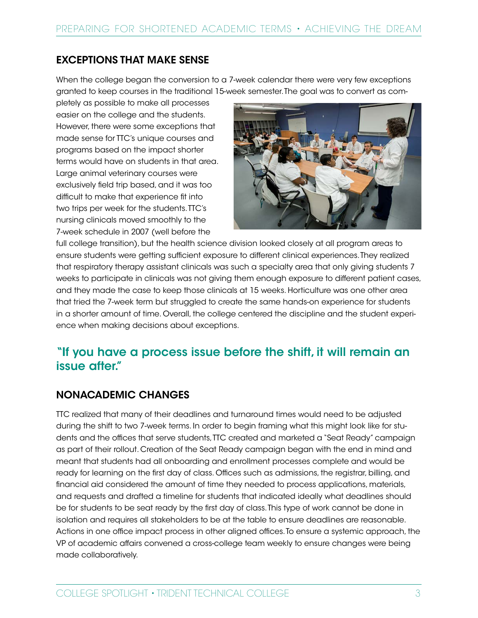#### EXCEPTIONS THAT MAKE SENSE

When the college began the conversion to a 7-week calendar there were very few exceptions granted to keep courses in the traditional 15-week semester. The goal was to convert as com-

pletely as possible to make all processes easier on the college and the students. However, there were some exceptions that made sense for TTC's unique courses and programs based on the impact shorter terms would have on students in that area. Large animal veterinary courses were exclusively field trip based, and it was too difficult to make that experience fit into two trips per week for the students. TTC's nursing clinicals moved smoothly to the 7-week schedule in 2007 (well before the



full college transition), but the health science division looked closely at all program areas to ensure students were getting sufficient exposure to different clinical experiences. They realized that respiratory therapy assistant clinicals was such a specialty area that only giving students 7 weeks to participate in clinicals was not giving them enough exposure to different patient cases, and they made the case to keep those clinicals at 15 weeks. Horticulture was one other area that tried the 7-week term but struggled to create the same hands-on experience for students in a shorter amount of time. Overall, the college centered the discipline and the student experience when making decisions about exceptions.

#### "If you have a process issue before the shift, it will remain an issue after."

#### NONACADEMIC CHANGES

TTC realized that many of their deadlines and turnaround times would need to be adjusted during the shift to two 7-week terms. In order to begin framing what this might look like for students and the offices that serve students, TTC created and marketed a "Seat Ready" campaign as part of their rollout. Creation of the Seat Ready campaign began with the end in mind and meant that students had all onboarding and enrollment processes complete and would be ready for learning on the first day of class. Offices such as admissions, the registrar, billing, and financial aid considered the amount of time they needed to process applications, materials, and requests and drafted a timeline for students that indicated ideally what deadlines should be for students to be seat ready by the first day of class. This type of work cannot be done in isolation and requires all stakeholders to be at the table to ensure deadlines are reasonable. Actions in one office impact process in other aligned offices. To ensure a systemic approach, the VP of academic affairs convened a cross-college team weekly to ensure changes were being made collaboratively.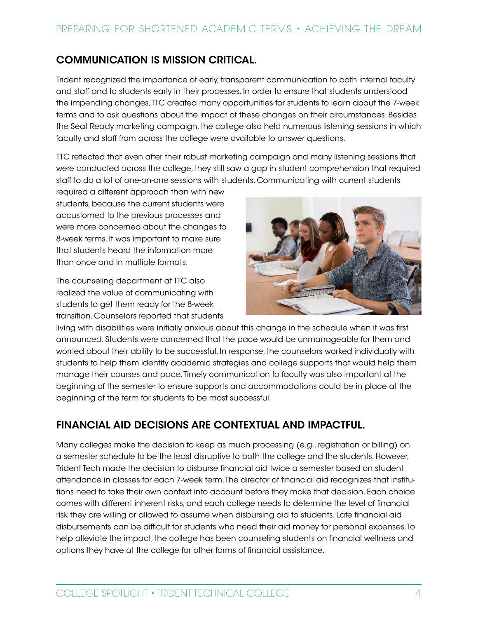#### COMMUNICATION IS MISSION CRITICAL.

Trident recognized the importance of early, transparent communication to both internal faculty and staff and to students early in their processes. In order to ensure that students understood the impending changes, TTC created many opportunities for students to learn about the 7-week terms and to ask questions about the impact of these changes on their circumstances. Besides the Seat Ready marketing campaign, the college also held numerous listening sessions in which faculty and staff from across the college were available to answer questions.

TTC reflected that even after their robust marketing campaign and many listening sessions that were conducted across the college, they still saw a gap in student comprehension that required staff to do a lot of one-on-one sessions with students. Communicating with current students

required a different approach than with new students, because the current students were accustomed to the previous processes and were more concerned about the changes to 8-week terms. It was important to make sure that students heard the information more than once and in multiple formats.

The counseling department at TTC also realized the value of communicating with students to get them ready for the 8-week transition. Counselors reported that students



living with disabilities were initially anxious about this change in the schedule when it was first announced. Students were concerned that the pace would be unmanageable for them and worried about their ability to be successful. In response, the counselors worked individually with students to help them identify academic strategies and college supports that would help them manage their courses and pace. Timely communication to faculty was also important at the beginning of the semester to ensure supports and accommodations could be in place at the beginning of the term for students to be most successful.

#### FINANCIAL AID DECISIONS ARE CONTEXTUAL AND IMPACTFUL.

Many colleges make the decision to keep as much processing (e.g., registration or billing) on a semester schedule to be the least disruptive to both the college and the students. However, Trident Tech made the decision to disburse financial aid twice a semester based on student attendance in classes for each 7-week term. The director of financial aid recognizes that institutions need to take their own context into account before they make that decision. Each choice comes with different inherent risks, and each college needs to determine the level of financial risk they are willing or allowed to assume when disbursing aid to students. Late financial aid disbursements can be difficult for students who need their aid money for personal expenses. To help alleviate the impact, the college has been counseling students on financial wellness and options they have at the college for other forms of financial assistance.